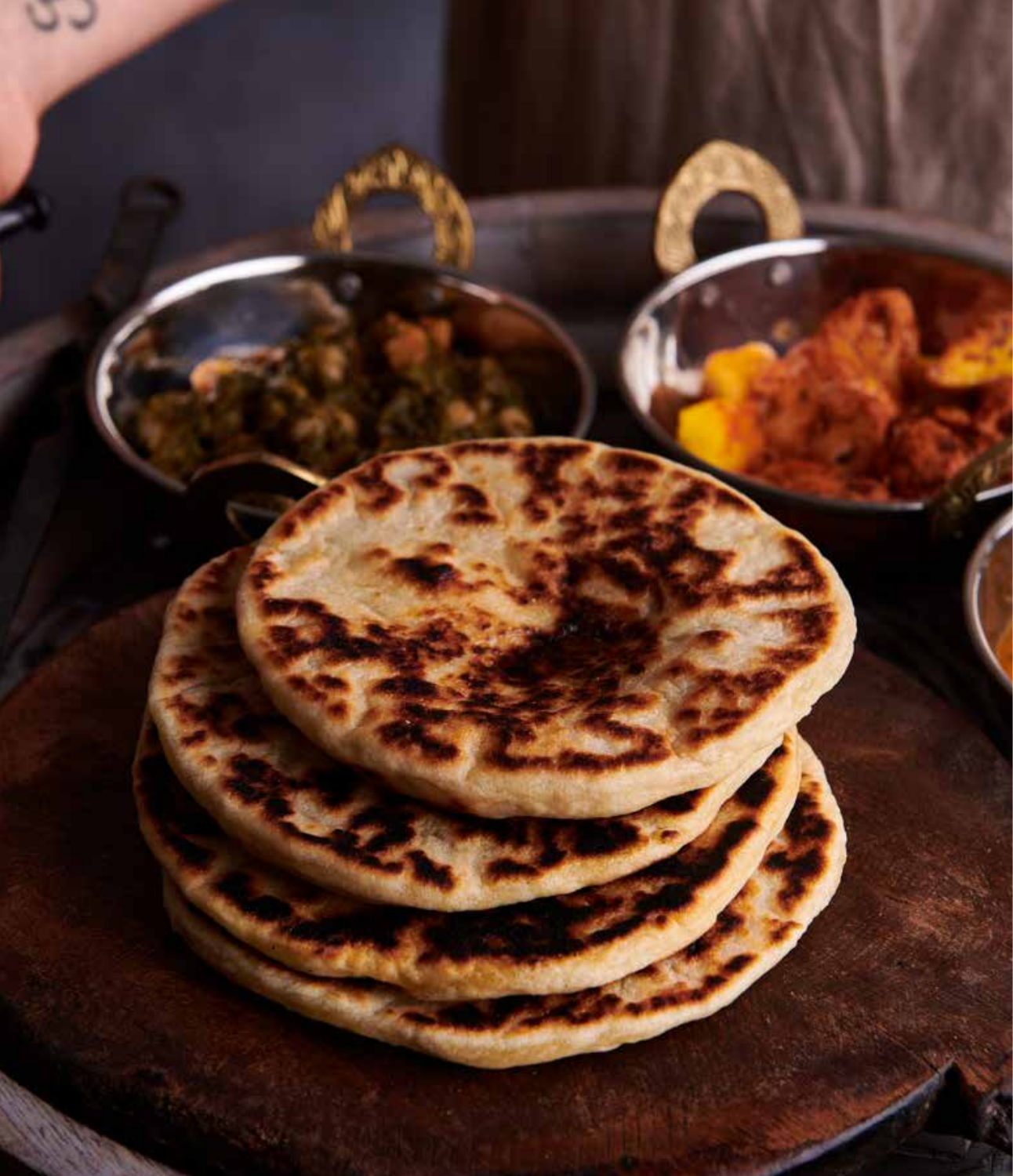